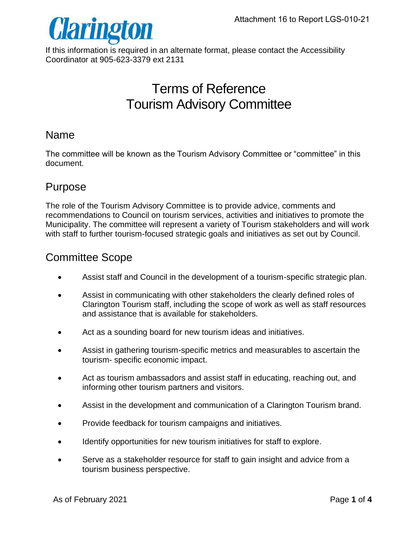

If this information is required in an alternate format, please contact the Accessibility Coordinator at 905-623-3379 ext 2131

# Terms of Reference Tourism Advisory Committee

#### Name

The committee will be known as the Tourism Advisory Committee or "committee" in this document.

## Purpose

The role of the Tourism Advisory Committee is to provide advice, comments and recommendations to Council on tourism services, activities and initiatives to promote the Municipality. The committee will represent a variety of Tourism stakeholders and will work with staff to further tourism-focused strategic goals and initiatives as set out by Council.

# Committee Scope

- Assist staff and Council in the development of a tourism-specific strategic plan.
- Assist in communicating with other stakeholders the clearly defined roles of Clarington Tourism staff, including the scope of work as well as staff resources and assistance that is available for stakeholders.
- Act as a sounding board for new tourism ideas and initiatives.
- Assist in gathering tourism-specific metrics and measurables to ascertain the tourism- specific economic impact.
- Act as tourism ambassadors and assist staff in educating, reaching out, and informing other tourism partners and visitors.
- Assist in the development and communication of a Clarington Tourism brand.
- Provide feedback for tourism campaigns and initiatives.
- Identify opportunities for new tourism initiatives for staff to explore.
- Serve as a stakeholder resource for staff to gain insight and advice from a tourism business perspective.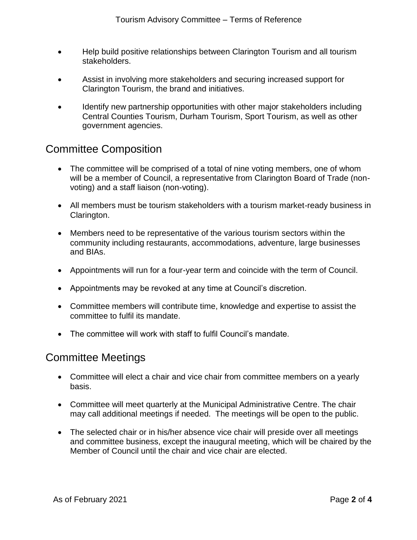- Help build positive relationships between Clarington Tourism and all tourism stakeholders.
- Assist in involving more stakeholders and securing increased support for Clarington Tourism, the brand and initiatives.
- Identify new partnership opportunities with other major stakeholders including Central Counties Tourism, Durham Tourism, Sport Tourism, as well as other government agencies.

## Committee Composition

- The committee will be comprised of a total of nine voting members, one of whom will be a member of Council, a representative from Clarington Board of Trade (nonvoting) and a staff liaison (non-voting).
- All members must be tourism stakeholders with a tourism market-ready business in Clarington.
- Members need to be representative of the various tourism sectors within the community including restaurants, accommodations, adventure, large businesses and BIAs.
- Appointments will run for a four-year term and coincide with the term of Council.
- Appointments may be revoked at any time at Council's discretion.
- Committee members will contribute time, knowledge and expertise to assist the committee to fulfil its mandate.
- The committee will work with staff to fulfil Council's mandate.

#### Committee Meetings

- Committee will elect a chair and vice chair from committee members on a yearly basis.
- Committee will meet quarterly at the Municipal Administrative Centre. The chair may call additional meetings if needed. The meetings will be open to the public.
- The selected chair or in his/her absence vice chair will preside over all meetings and committee business, except the inaugural meeting, which will be chaired by the Member of Council until the chair and vice chair are elected.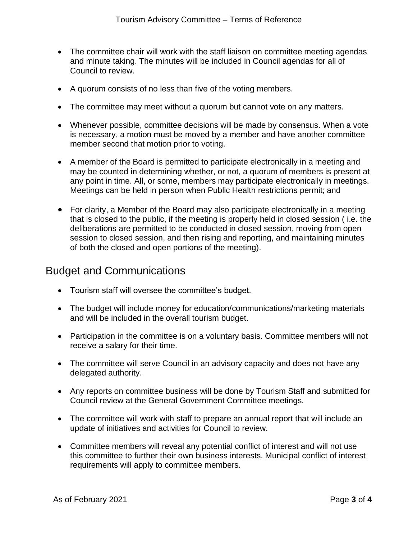- The committee chair will work with the staff liaison on committee meeting agendas and minute taking. The minutes will be included in Council agendas for all of Council to review.
- A quorum consists of no less than five of the voting members.
- The committee may meet without a quorum but cannot vote on any matters.
- Whenever possible, committee decisions will be made by consensus. When a vote is necessary, a motion must be moved by a member and have another committee member second that motion prior to voting.
- A member of the Board is permitted to participate electronically in a meeting and may be counted in determining whether, or not, a quorum of members is present at any point in time. All, or some, members may participate electronically in meetings. Meetings can be held in person when Public Health restrictions permit; and
- For clarity, a Member of the Board may also participate electronically in a meeting that is closed to the public, if the meeting is properly held in closed session ( i.e. the deliberations are permitted to be conducted in closed session, moving from open session to closed session, and then rising and reporting, and maintaining minutes of both the closed and open portions of the meeting).

#### Budget and Communications

- Tourism staff will oversee the committee's budget.
- The budget will include money for education/communications/marketing materials and will be included in the overall tourism budget.
- Participation in the committee is on a voluntary basis. Committee members will not receive a salary for their time.
- The committee will serve Council in an advisory capacity and does not have any delegated authority.
- Any reports on committee business will be done by Tourism Staff and submitted for Council review at the General Government Committee meetings.
- The committee will work with staff to prepare an annual report that will include an update of initiatives and activities for Council to review.
- Committee members will reveal any potential conflict of interest and will not use this committee to further their own business interests. Municipal conflict of interest requirements will apply to committee members.